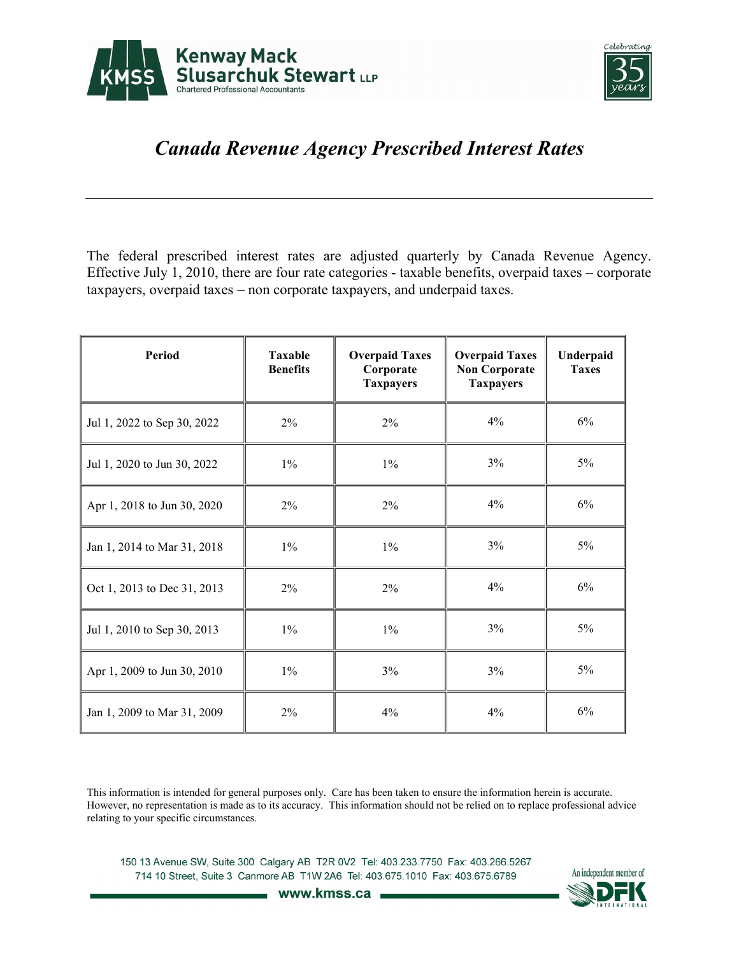



## *Canada Revenue Agency Prescribed Interest Rates*

The federal prescribed interest rates are adjusted quarterly by Canada Revenue Agency. Effective July 1, 2010, there are four rate categories - taxable benefits, overpaid taxes – corporate taxpayers, overpaid taxes – non corporate taxpayers, and underpaid taxes.

| Period                      | <b>Taxable</b><br><b>Benefits</b> | <b>Overpaid Taxes</b><br>Corporate<br><b>Taxpayers</b> | <b>Overpaid Taxes</b><br><b>Non Corporate</b><br><b>Taxpayers</b> | Underpaid<br><b>Taxes</b> |
|-----------------------------|-----------------------------------|--------------------------------------------------------|-------------------------------------------------------------------|---------------------------|
| Jul 1, 2022 to Sep 30, 2022 | $2\%$                             | $2\%$                                                  | 4%                                                                | 6%                        |
| Jul 1, 2020 to Jun 30, 2022 | $1\%$                             | $1\%$                                                  | 3%                                                                | $5\%$                     |
| Apr 1, 2018 to Jun 30, 2020 | 2%                                | 2%                                                     | 4%                                                                | 6%                        |
| Jan 1, 2014 to Mar 31, 2018 | $1\%$                             | $1\%$                                                  | 3%                                                                | $5\%$                     |
| Oct 1, 2013 to Dec 31, 2013 | $2\%$                             | $2\%$                                                  | 4%                                                                | 6%                        |
| Jul 1, 2010 to Sep 30, 2013 | $1\%$                             | $1\%$                                                  | 3%                                                                | $5\%$                     |
| Apr 1, 2009 to Jun 30, 2010 | $1\%$                             | 3%                                                     | 3%                                                                | $5\%$                     |
| Jan 1, 2009 to Mar 31, 2009 | 2%                                | $4\%$                                                  | 4%                                                                | 6%                        |

This information is intended for general purposes only. Care has been taken to ensure the information herein is accurate. However, no representation is made as to its accuracy. This information should not be relied on to replace professional advice relating to your specific circumstances.

150 13 Avenue SW, Suite 300 Calgary AB T2R 0V2 Tel: 403.233.7750 Fax: 403.266.5267 714 10 Street, Suite 3 Canmore AB T1W 2A6 Tel: 403.675.1010 Fax: 403.675.6789



www.kmss.ca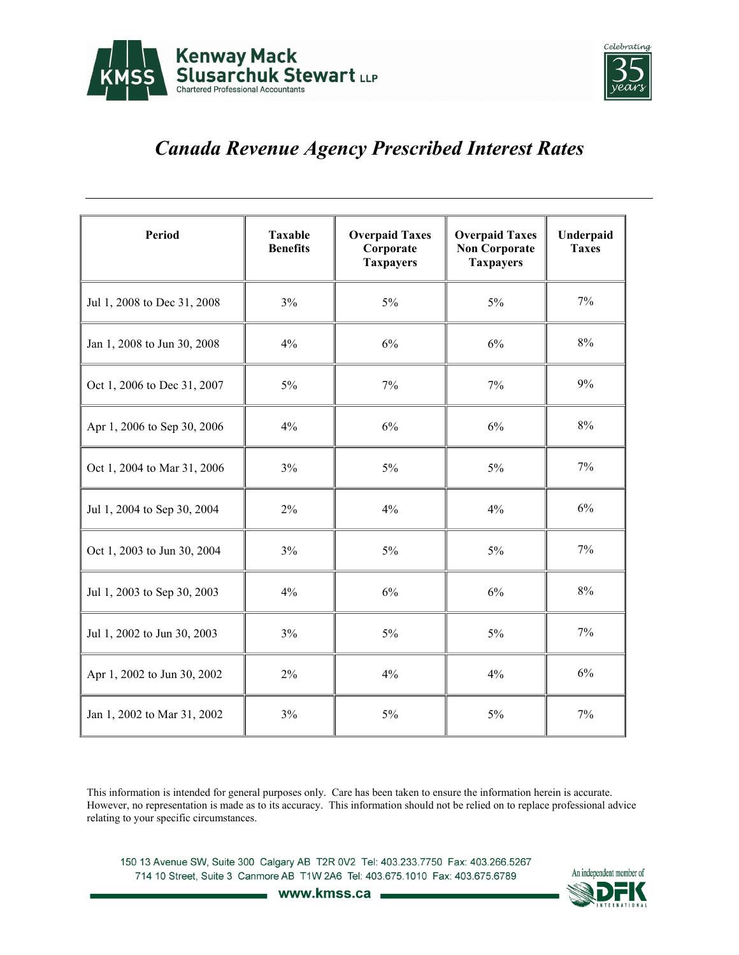



## *Canada Revenue Agency Prescribed Interest Rates*

| Period                      | <b>Taxable</b><br><b>Benefits</b> | <b>Overpaid Taxes</b><br>Corporate<br><b>Taxpayers</b> | <b>Overpaid Taxes</b><br><b>Non Corporate</b><br><b>Taxpayers</b> | Underpaid<br><b>Taxes</b> |
|-----------------------------|-----------------------------------|--------------------------------------------------------|-------------------------------------------------------------------|---------------------------|
| Jul 1, 2008 to Dec 31, 2008 | 3%                                | 5%                                                     | $5\%$                                                             | 7%                        |
| Jan 1, 2008 to Jun 30, 2008 | 4%                                | 6%                                                     | 6%                                                                | $8\%$                     |
| Oct 1, 2006 to Dec 31, 2007 | 5%                                | 7%                                                     | 7%                                                                | 9%                        |
| Apr 1, 2006 to Sep 30, 2006 | 4%                                | 6%                                                     | 6%                                                                | $8\%$                     |
| Oct 1, 2004 to Mar 31, 2006 | 3%                                | $5\%$                                                  | $5\%$                                                             | 7%                        |
| Jul 1, 2004 to Sep 30, 2004 | $2\%$                             | 4%                                                     | 4%                                                                | 6%                        |
| Oct 1, 2003 to Jun 30, 2004 | 3%                                | $5\%$                                                  | $5\%$                                                             | 7%                        |
| Jul 1, 2003 to Sep 30, 2003 | 4%                                | 6%                                                     | 6%                                                                | 8%                        |
| Jul 1, 2002 to Jun 30, 2003 | 3%                                | $5\%$                                                  | $5\%$                                                             | $7\%$                     |
| Apr 1, 2002 to Jun 30, 2002 | $2\%$                             | 4%                                                     | 4%                                                                | 6%                        |
| Jan 1, 2002 to Mar 31, 2002 | 3%                                | 5%                                                     | $5\%$                                                             | 7%                        |

This information is intended for general purposes only. Care has been taken to ensure the information herein is accurate. However, no representation is made as to its accuracy. This information should not be relied on to replace professional advice relating to your specific circumstances.

150 13 Avenue SW, Suite 300 Calgary AB T2R 0V2 Tel: 403.233.7750 Fax: 403.266.5267 714 10 Street, Suite 3 Canmore AB T1W 2A6 Tel: 403.675.1010 Fax: 403.675.6789